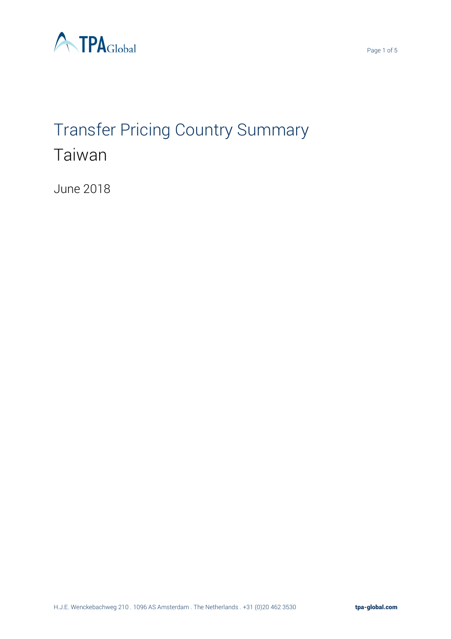

# Transfer Pricing Country Summary Taiwan

June 2018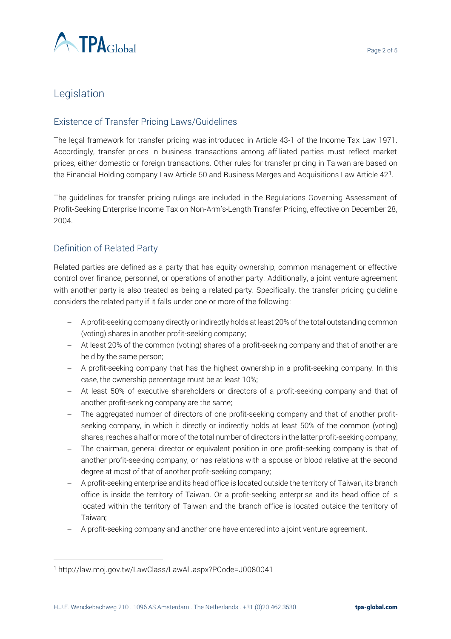

# Legislation

## Existence of Transfer Pricing Laws/Guidelines

The legal framework for transfer pricing was introduced in Article 43-1 of the Income Tax Law 1971. Accordingly, transfer prices in business transactions among affiliated parties must reflect market prices, either domestic or foreign transactions. Other rules for transfer pricing in Taiwan are based on the Financial Holding company Law Article 50 and Business Merges and Acquisitions Law Article 42  $^{\rm l}$ .

The guidelines for transfer pricing rulings are included in the Regulations Governing Assessment of Profit-Seeking Enterprise Income Tax on Non-Arm's-Length Transfer Pricing, effective on December 28, 2004.

### Definition of Related Party

Related parties are defined as a party that has equity ownership, common management or effective control over finance, personnel, or operations of another party. Additionally, a joint venture agreement with another party is also treated as being a related party. Specifically, the transfer pricing guideline considers the related party if it falls under one or more of the following:

- − A profit-seeking company directly or indirectly holds at least 20% of the total outstanding common (voting) shares in another profit-seeking company;
- − At least 20% of the common (voting) shares of a profit-seeking company and that of another are held by the same person;
- − A profit-seeking company that has the highest ownership in a profit-seeking company. In this case, the ownership percentage must be at least 10%;
- − At least 50% of executive shareholders or directors of a profit-seeking company and that of another profit-seeking company are the same;
- − The aggregated number of directors of one profit-seeking company and that of another profitseeking company, in which it directly or indirectly holds at least 50% of the common (voting) shares, reaches a half or more of the total number of directors in the latter profit-seeking company;
- − The chairman, general director or equivalent position in one profit-seeking company is that of another profit-seeking company, or has relations with a spouse or blood relative at the second degree at most of that of another profit-seeking company;
- − A profit-seeking enterprise and its head office is located outside the territory of Taiwan, its branch office is inside the territory of Taiwan. Or a profit-seeking enterprise and its head office of is located within the territory of Taiwan and the branch office is located outside the territory of Taiwan;
- − A profit-seeking company and another one have entered into a joint venture agreement.

 $\overline{a}$ 

<sup>1</sup> http://law.moj.gov.tw/LawClass/LawAll.aspx?PCode=J0080041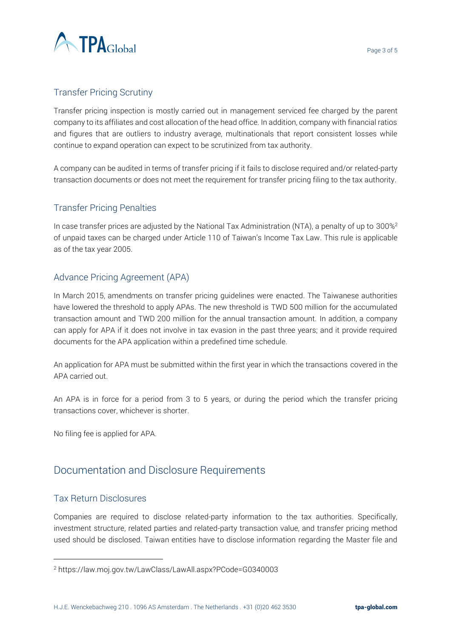

## Transfer Pricing Scrutiny

Transfer pricing inspection is mostly carried out in management serviced fee charged by the parent company to its affiliates and cost allocation of the head office. In addition, company with financial ratios and figures that are outliers to industry average, multinationals that report consistent losses while continue to expand operation can expect to be scrutinized from tax authority.

A company can be audited in terms of transfer pricing if it fails to disclose required and/or related-party transaction documents or does not meet the requirement for transfer pricing filing to the tax authority.

## Transfer Pricing Penalties

In case transfer prices are adjusted by the National Tax Administration (NTA), a penalty of up to  $300\%$ <sup>2</sup> of unpaid taxes can be charged under Article 110 of Taiwan's Income Tax Law. This rule is applicable as of the tax year 2005.

#### Advance Pricing Agreement (APA)

In March 2015, amendments on transfer pricing guidelines were enacted. The Taiwanese authorities have lowered the threshold to apply APAs. The new threshold is TWD 500 million for the accumulated transaction amount and TWD 200 million for the annual transaction amount. In addition, a company can apply for APA if it does not involve in tax evasion in the past three years; and it provide required documents for the APA application within a predefined time schedule.

An application for APA must be submitted within the first year in which the transactions covered in the APA carried out.

An APA is in force for a period from 3 to 5 years, or during the period which the transfer pricing transactions cover, whichever is shorter.

No filing fee is applied for APA.

# Documentation and Disclosure Requirements

#### Tax Return Disclosures

 $\overline{a}$ 

Companies are required to disclose related-party information to the tax authorities. Specifically, investment structure, related parties and related-party transaction value, and transfer pricing method used should be disclosed. Taiwan entities have to disclose information regarding the Master file and

<sup>2</sup> https://law.moj.gov.tw/LawClass/LawAll.aspx?PCode=G0340003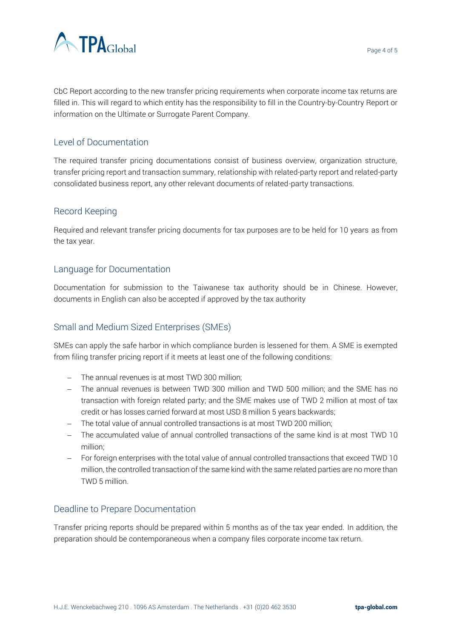

CbC Report according to the new transfer pricing requirements when corporate income tax returns are filled in. This will regard to which entity has the responsibility to fill in the Country-by-Country Report or information on the Ultimate or Surrogate Parent Company.

#### Level of Documentation

The required transfer pricing documentations consist of business overview, organization structure, transfer pricing report and transaction summary, relationship with related-party report and related-party consolidated business report, any other relevant documents of related-party transactions.

#### Record Keeping

Required and relevant transfer pricing documents for tax purposes are to be held for 10 years as from the tax year.

#### Language for Documentation

Documentation for submission to the Taiwanese tax authority should be in Chinese. However, documents in English can also be accepted if approved by the tax authority

#### Small and Medium Sized Enterprises (SMEs)

SMEs can apply the safe harbor in which compliance burden is lessened for them. A SME is exempted from filing transfer pricing report if it meets at least one of the following conditions:

- − The annual revenues is at most TWD 300 million;
- − The annual revenues is between TWD 300 million and TWD 500 million; and the SME has no transaction with foreign related party; and the SME makes use of TWD 2 million at most of tax credit or has losses carried forward at most USD 8 million 5 years backwards;
- − The total value of annual controlled transactions is at most TWD 200 million;
- − The accumulated value of annual controlled transactions of the same kind is at most TWD 10 million;
- − For foreign enterprises with the total value of annual controlled transactions that exceed TWD 10 million, the controlled transaction of the same kind with the same related parties are no more than TWD 5 million.

#### Deadline to Prepare Documentation

Transfer pricing reports should be prepared within 5 months as of the tax year ended. In addition, the preparation should be contemporaneous when a company files corporate income tax return.